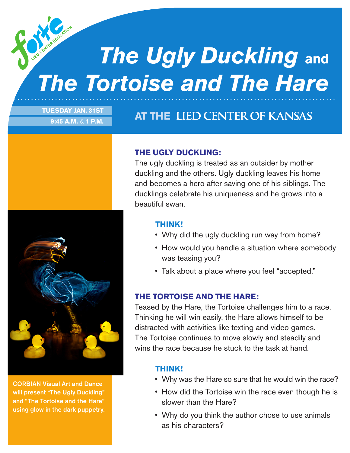# *The Ugly Duckling* **and** *The Tortoise and The Hare*

### **TUESDAY JAN. 31ST 9:45 A.M.** & **1 P.M.**

## **AT THE LIED CENTER OF KANSAS**

CORBIAN Visual Art and Dance will present "The Ugly Duckling" and "The Tortoise and the Hare" using glow in the dark puppetry.

### **THE UGLY DUCKLING:**

The ugly duckling is treated as an outsider by mother duckling and the others. Ugly duckling leaves his home and becomes a hero after saving one of his siblings. The ducklings celebrate his uniqueness and he grows into a beautiful swan.

#### **THINK!**

- Why did the ugly duckling run way from home?
- How would you handle a situation where somebody was teasing you?
- Talk about a place where you feel "accepted."

### **THE TORTOISE AND THE HARE:**

Teased by the Hare, the Tortoise challenges him to a race. Thinking he will win easily, the Hare allows himself to be distracted with activities like texting and video games. The Tortoise continues to move slowly and steadily and wins the race because he stuck to the task at hand.

#### **THINK!**

- Why was the Hare so sure that he would win the race?
- How did the Tortoise win the race even though he is slower than the Hare?
- Why do you think the author chose to use animals as his characters?